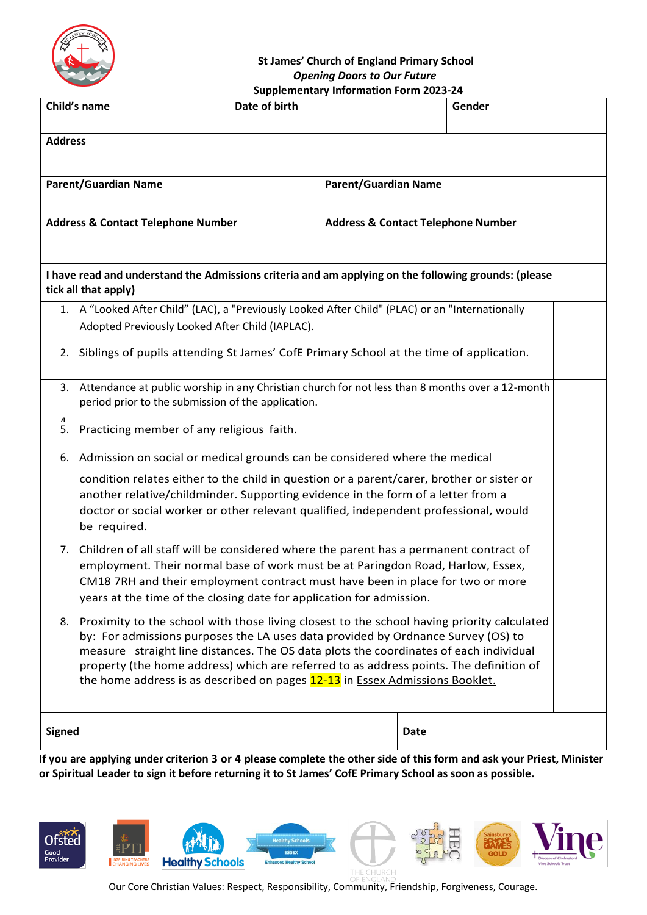

## **St James' Church of England Primary School** *Opening Doors to Our Future*

| <b>Supplementary Information Form 2023-24</b>                                                                                                                             |                                                                                                                                                        |               |                                               |      |        |  |  |
|---------------------------------------------------------------------------------------------------------------------------------------------------------------------------|--------------------------------------------------------------------------------------------------------------------------------------------------------|---------------|-----------------------------------------------|------|--------|--|--|
| Child's name                                                                                                                                                              |                                                                                                                                                        | Date of birth |                                               |      | Gender |  |  |
| <b>Address</b>                                                                                                                                                            |                                                                                                                                                        |               |                                               |      |        |  |  |
|                                                                                                                                                                           |                                                                                                                                                        |               |                                               |      |        |  |  |
| <b>Parent/Guardian Name</b>                                                                                                                                               |                                                                                                                                                        |               | <b>Parent/Guardian Name</b>                   |      |        |  |  |
| <b>Address &amp; Contact Telephone Number</b>                                                                                                                             |                                                                                                                                                        |               | <b>Address &amp; Contact Telephone Number</b> |      |        |  |  |
|                                                                                                                                                                           |                                                                                                                                                        |               |                                               |      |        |  |  |
| I have read and understand the Admissions criteria and am applying on the following grounds: (please<br>tick all that apply)                                              |                                                                                                                                                        |               |                                               |      |        |  |  |
| 1. A "Looked After Child" (LAC), a "Previously Looked After Child" (PLAC) or an "Internationally                                                                          |                                                                                                                                                        |               |                                               |      |        |  |  |
| Adopted Previously Looked After Child (IAPLAC).                                                                                                                           |                                                                                                                                                        |               |                                               |      |        |  |  |
|                                                                                                                                                                           | 2. Siblings of pupils attending St James' CofE Primary School at the time of application.                                                              |               |                                               |      |        |  |  |
|                                                                                                                                                                           | 3. Attendance at public worship in any Christian church for not less than 8 months over a 12-month                                                     |               |                                               |      |        |  |  |
|                                                                                                                                                                           | period prior to the submission of the application.                                                                                                     |               |                                               |      |        |  |  |
| 5.                                                                                                                                                                        | Practicing member of any religious faith.                                                                                                              |               |                                               |      |        |  |  |
| 6.                                                                                                                                                                        | Admission on social or medical grounds can be considered where the medical                                                                             |               |                                               |      |        |  |  |
|                                                                                                                                                                           | condition relates either to the child in question or a parent/carer, brother or sister or                                                              |               |                                               |      |        |  |  |
|                                                                                                                                                                           | another relative/childminder. Supporting evidence in the form of a letter from a                                                                       |               |                                               |      |        |  |  |
|                                                                                                                                                                           | doctor or social worker or other relevant qualified, independent professional, would<br>be required.                                                   |               |                                               |      |        |  |  |
| 7.                                                                                                                                                                        | Children of all staff will be considered where the parent has a permanent contract of                                                                  |               |                                               |      |        |  |  |
|                                                                                                                                                                           | employment. Their normal base of work must be at Paringdon Road, Harlow, Essex,                                                                        |               |                                               |      |        |  |  |
|                                                                                                                                                                           | CM18 7RH and their employment contract must have been in place for two or more<br>years at the time of the closing date for application for admission. |               |                                               |      |        |  |  |
| 8.                                                                                                                                                                        | Proximity to the school with those living closest to the school having priority calculated                                                             |               |                                               |      |        |  |  |
| by: For admissions purposes the LA uses data provided by Ordnance Survey (OS) to<br>measure straight line distances. The OS data plots the coordinates of each individual |                                                                                                                                                        |               |                                               |      |        |  |  |
|                                                                                                                                                                           | property (the home address) which are referred to as address points. The definition of                                                                 |               |                                               |      |        |  |  |
|                                                                                                                                                                           | the home address is as described on pages 12-13 in Essex Admissions Booklet.                                                                           |               |                                               |      |        |  |  |
|                                                                                                                                                                           |                                                                                                                                                        |               |                                               |      |        |  |  |
| <b>Signed</b>                                                                                                                                                             |                                                                                                                                                        |               |                                               | Date |        |  |  |
|                                                                                                                                                                           |                                                                                                                                                        |               |                                               |      |        |  |  |

**If you are applying under criterion 3 or 4 please complete the other side of this form and ask your Priest, Minister or Spiritual Leader to sign it before returning it to St James' CofE Primary School as soon as possible.**